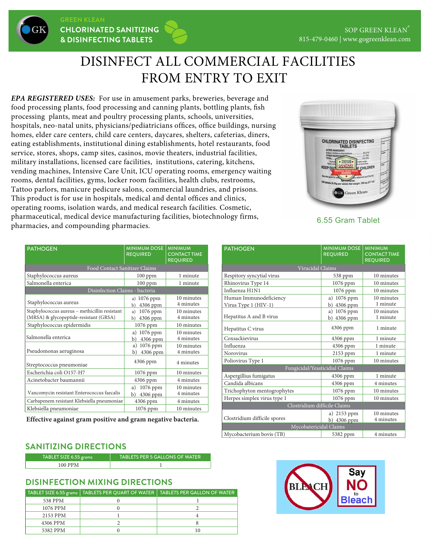# DISINFECT ALL COMMERCIAL FACILITIES FROM ENTRY TO EXIT

*EPA REGISTERED USES:* For use in amusement parks, breweries, beverage and food processing plants, food processing and canning plants, bottling plants, fish processing plants, meat and poultry processing plants, schools, universities, hospitals, neo-natal units, physicians/pediatricians offices, office buildings, nursing homes, elder care centers, child care centers, daycares, shelters, cafeterias, diners, eating establishments, institutional dining establishments, hotel restaurants, food service, stores, shops, camp sites, casinos, movie theaters, industrial facilities, military installations, licensed care facilities, institutions, catering, kitchens, vending machines, Intensive Care Unit, ICU operating rooms, emergency waiting rooms, dental facilities, gyms, locker room facilities, health clubs, restrooms, Tattoo parlors, manicure pedicure salons, commercial laundries, and prisons. This product is for use in hospitals, medical and dental offices and clinics, operating rooms, isolation wards, and medical research facilities. Cosmetic, pharmaceutical, medical device manufacturing facilities, biotechnology firms, pharmacies, and compounding pharmacies.



6.55 Gram Tablet

| <b>PATHOGEN</b>                                                                         | <b>MINIMUM DOSE</b><br><b>REQUIRED</b> | <b>MINIMUM</b><br><b>CONTACT TIME</b><br><b>REQUIRED</b> |
|-----------------------------------------------------------------------------------------|----------------------------------------|----------------------------------------------------------|
| Food Contact Sanitizer Claims                                                           |                                        |                                                          |
| Staphylococcus aureus                                                                   | $100$ ppm                              | 1 minute                                                 |
| Salmonella enterica                                                                     | $100$ ppm                              | 1 minute                                                 |
| Disinfection Claims - bacteria                                                          |                                        |                                                          |
| Staphylococcus aureus                                                                   | a) 1076 ppm<br>4306 ppm<br>b)          | 10 minutes<br>4 minutes                                  |
| Staphylococcus aureus - methicillin resistant<br>(MRSA) & glycopeptide-resistant (GRSA) | 1076 ppm<br>a)<br>4306 ppm<br>b)       | 10 minutes<br>4 minutes                                  |
| Staphylococcus epidermidis                                                              | 1076 ppm                               | 10 minutes                                               |
| Salmonella enterica                                                                     | a) 1076 ppm<br>4306 ppm<br>b)          | 10 minutes<br>4 minutes                                  |
| Pseudomonas aeruginosa                                                                  | 1076 ppm<br>a)<br>4306 ppm<br>b)       | 10 minutes<br>4 minutes                                  |
| Streptococcus pneumoniae                                                                | 4306 ppm                               | 4 minutes                                                |
| Escherichia coli O157-H7                                                                | 1076 ppm                               | 10 minutes                                               |
| Acinetobacter baumannii                                                                 | 4306 ppm                               | 4 minutes                                                |
| Vancomycin resistant Enterococcus faecalis                                              | 1076 ppm<br>a)<br>4306 ppm<br>b)       | 10 minutes<br>4 minutes                                  |
| Carbapenem resistant Klebsiella pneumoniae                                              | 4306 ppm                               | 4 minutes                                                |
| Klebsiella pneumoniae                                                                   | 1076 ppm                               | 10 minutes                                               |

**Effective against gram positive and gram negative bacteria.**

### **SANITIZING DIRECTIONS**

| TABLET SIZE 6.55 grams | <b>TABLETS PER 5 GALLONS OF WATER</b> |
|------------------------|---------------------------------------|
| 100 PPM                |                                       |

#### **DISINFECTION MIXING DIRECTIONS**

| TABLET SIZE 6.55 grams | TABLETS PER QUART OF WATER TABLETS PER GALLON OF WATER |
|------------------------|--------------------------------------------------------|
| 538 PPM                |                                                        |
| 1076 PPM               |                                                        |
| 2153 PPM               |                                                        |
| 4306 PPM               |                                                        |
| 5382 PPM               | 10                                                     |

| <b>PATHOGEN</b>                | <b>MINIMUM DOSE</b><br><b>REQUIRED</b> | <b>MINIMUM</b><br><b>CONTACT TIME</b><br><b>REQUIRED</b> |  |
|--------------------------------|----------------------------------------|----------------------------------------------------------|--|
| Virucidal Claims               |                                        |                                                          |  |
| Respitory syncytial virus      | 538 ppm                                | 10 minutes                                               |  |
| Rhinovirus Type 14             | $1076$ ppm                             | 10 minutes                                               |  |
| Influenza H1N1                 | 1076 ppm                               | 10 minutes                                               |  |
| Human Immunodeficiency         | a) 1076 ppm                            | 10 minutes                                               |  |
| Virus Type 1 (HIV-1)           | b) 4306 ppm                            | 1 minute                                                 |  |
|                                | 1076 ppm<br>a)                         | 10 minutes                                               |  |
| Hepatitus A and B virus        | 4306 ppm<br>b)                         | 1 minute                                                 |  |
| Hepatitus C virus              | 4306 ppm                               | 1 minute                                                 |  |
| Coxsackievirus                 | 4306 ppm                               | 1 minute                                                 |  |
| Influenza                      | 4306 ppm                               | 1 minute                                                 |  |
| <b>Norovirus</b>               | 2153 ppm                               | 1 minute                                                 |  |
| Poliovirus Type 1              | 1076 ppm                               | 10 minutes                                               |  |
| Fungicidal/Yeasticidial Claims |                                        |                                                          |  |
| Aspergillius fumigatus         | 4306 ppm                               | 1 minute                                                 |  |
| Candida albicans               | 4306 ppm                               | 4 minutes                                                |  |
| Trichophyton mentogrophytes    | $1076$ ppm                             | 10 minutes                                               |  |
| Herpes simplex virus type 1    | 1076 ppm                               | 10 minutes                                               |  |
| Clostridium difficile Claims   |                                        |                                                          |  |
| Clostridium difficile spores   | a) 2153 ppm                            | 10 minutes<br>4 minutes                                  |  |
|                                | b) 4306 ppm                            |                                                          |  |
| Mycobatericidal Claims         |                                        |                                                          |  |
| Mycobacterium bovis (TB)       | 5382 ppm                               | 4 minutes                                                |  |